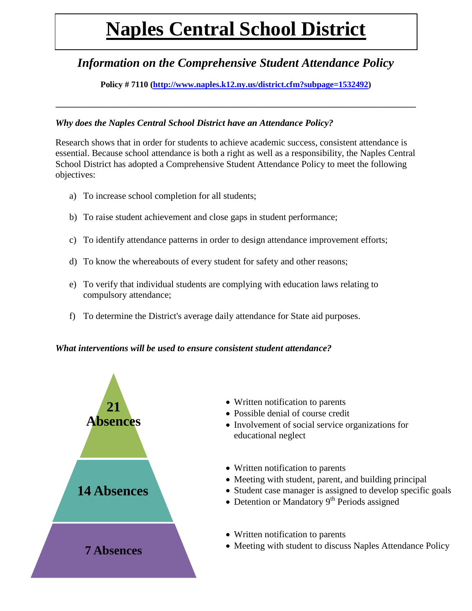# **Naples Central School District**

## *Information on the Comprehensive Student Attendance Policy*

**Policy # 7110 [\(http://www.naples.k12.ny.us/district.cfm?subpage=1532492\)](http://www.naples.k12.ny.us/district.cfm?subpage=1532492)**

**\_\_\_\_\_\_\_\_\_\_\_\_\_\_\_\_\_\_\_\_\_\_\_\_\_\_\_\_\_\_\_\_\_\_\_\_\_\_\_\_\_\_\_\_\_\_\_\_\_\_\_\_\_\_\_\_\_\_\_\_\_\_\_\_\_\_\_\_\_\_\_\_\_\_\_\_\_\_\_\_\_\_\_\_\_**

### *Why does the Naples Central School District have an Attendance Policy?*

Research shows that in order for students to achieve academic success, consistent attendance is essential. Because school attendance is both a right as well as a responsibility, the Naples Central School District has adopted a Comprehensive Student Attendance Policy to meet the following objectives:

- a) To increase school completion for all students;
- b) To raise student achievement and close gaps in student performance;
- c) To identify attendance patterns in order to design attendance improvement efforts;
- d) To know the whereabouts of every student for safety and other reasons;
- e) To verify that individual students are complying with education laws relating to compulsory attendance;
- f) To determine the District's average daily attendance for State aid purposes.

#### *What interventions will be used to ensure consistent student attendance?*



- Written notification to parents
- Possible denial of course credit
- Involvement of social service organizations for educational neglect
- Written notification to parents
- Meeting with student, parent, and building principal
- Student case manager is assigned to develop specific goals
- Detention or Mandatory  $9<sup>th</sup>$  Periods assigned
- Written notification to parents
- Meeting with student to discuss Naples Attendance Policy